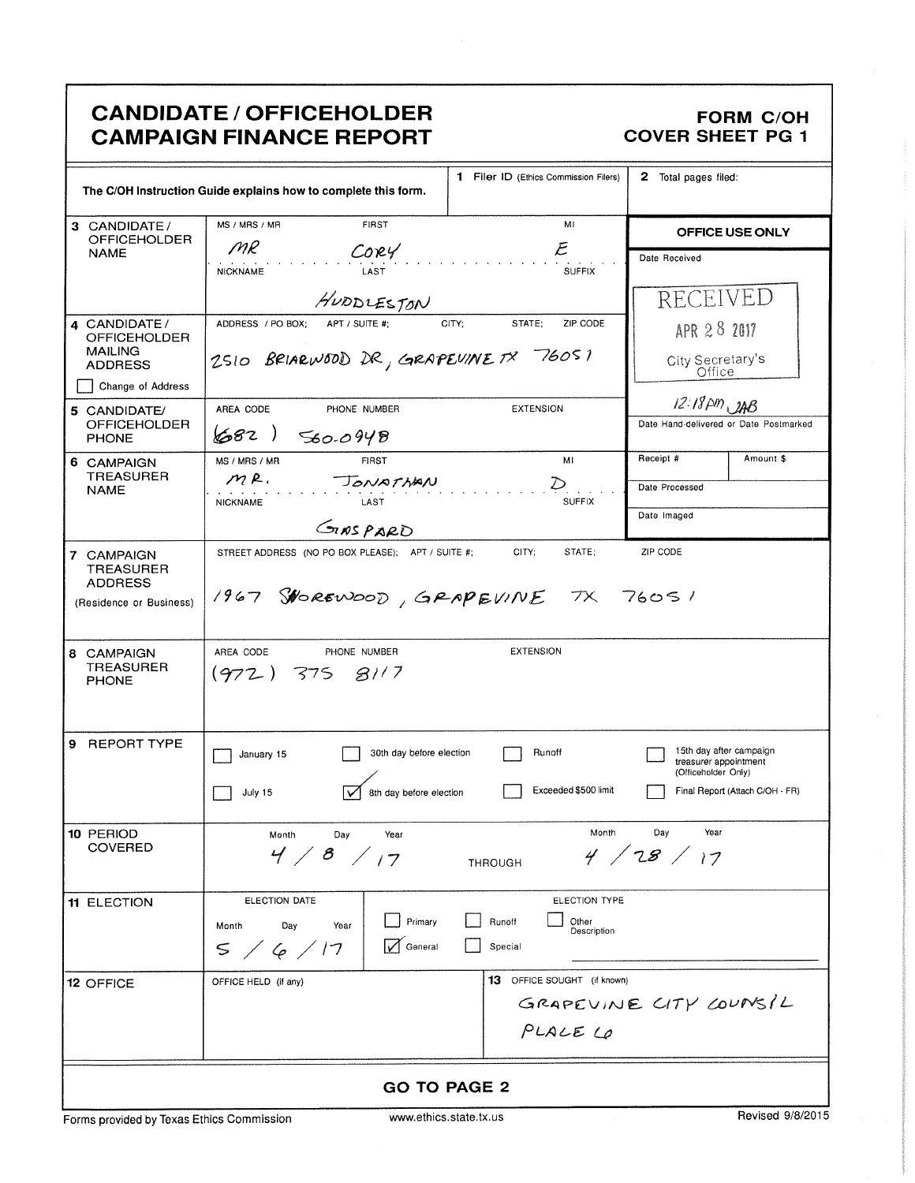|                                                                                                         | <b>CANDIDATE / OFFICEHOLDER</b><br><b>CAMPAIGN FINANCE REPORT</b>                                                      |                                                                   | <b>FORM C/OH</b><br><b>COVER SHEET PG 1</b>                                                                |  |  |
|---------------------------------------------------------------------------------------------------------|------------------------------------------------------------------------------------------------------------------------|-------------------------------------------------------------------|------------------------------------------------------------------------------------------------------------|--|--|
| 1 Filer ID (Ethics Commission Filers)<br>The C/OH Instruction Guide explains how to complete this form. |                                                                                                                        | 2 Total pages filed:                                              |                                                                                                            |  |  |
| 3 CANDIDATE/<br><b>OFFICEHOLDER</b>                                                                     | MS / MRS / MR<br><b>FIRST</b>                                                                                          | MI<br>${\cal E}$                                                  | OFFICE USE ONLY                                                                                            |  |  |
| <b>NAME</b>                                                                                             | MR<br>$C$ ory<br><b>NICKNAME</b><br>LAST                                                                               | Date Received<br><b>RECEIVED</b>                                  |                                                                                                            |  |  |
| 4 CANDIDATE/                                                                                            | HUDDLESTON<br>ADDRESS / PO BOX;<br>CITY;<br>STATE;<br>ZIP CODE<br>APT / SUITE #;                                       |                                                                   | APR 28 2017                                                                                                |  |  |
| <b>OFFICEHOLDER</b><br><b>MAILING</b><br><b>ADDRESS</b>                                                 | 2510 BRIARWOOD DR, GRAPEVINE TX 76051                                                                                  | City Secretary's                                                  |                                                                                                            |  |  |
| Change of Address                                                                                       |                                                                                                                        |                                                                   |                                                                                                            |  |  |
| 5 CANDIDATE/<br><b>OFFICEHOLDER</b><br><b>PHONE</b>                                                     | AREA CODE<br>PHONE NUMBER<br>682)<br>560.0948                                                                          | <b>EXTENSION</b>                                                  | $12:18 \rho m, 248$<br>Date Hand-delivered or Date Postmarked                                              |  |  |
| 6 CAMPAIGN                                                                                              | MS / MRS / MR<br><b>FIRST</b>                                                                                          | MI                                                                | Receipt #<br>Amount \$                                                                                     |  |  |
| <b>TREASURER</b><br><b>NAME</b>                                                                         | mR.<br>JONATHAN<br><b>SUFFIX</b><br><b>NICKNAME</b><br>LAST                                                            |                                                                   | Date Processed                                                                                             |  |  |
|                                                                                                         | GINSPARD                                                                                                               |                                                                   | Date Imaged                                                                                                |  |  |
| 7 CAMPAIGN<br><b>TREASURER</b><br><b>ADDRESS</b><br>(Residence or Business)                             | CITY:<br>STATE:<br>ZIP CODE<br>STREET ADDRESS (NO PO BOX PLEASE); APT / SUITE #;<br>1967 SHOREWOOD, GRAPEVINE TX 76051 |                                                                   |                                                                                                            |  |  |
| 8 CAMPAIGN<br><b>TREASURER</b><br><b>PHONE</b>                                                          | AREA CODE<br>PHONE NUMBER<br>$(972)$ 375 $81/7$                                                                        | <b>EXTENSION</b>                                                  |                                                                                                            |  |  |
| 9 REPORT TYPE                                                                                           | 30th day before election<br>January 15<br>8th day before election<br>July 15                                           | Runoff<br>Exceeded \$500 limit                                    | 15th day after campaign<br>treasurer appointment<br>(Officeholder Only)<br>Final Report (Attach C/OH - FR) |  |  |
| 10 PERIOD<br><b>COVERED</b>                                                                             | Month<br>Day<br>Year<br>Month<br>Day<br>Year<br>4 / 28 / 17<br>4/8/17<br><b>THROUGH</b>                                |                                                                   |                                                                                                            |  |  |
| <b>11 ELECTION</b>                                                                                      | ELECTION DATE<br>Primary<br>Month<br>Day<br>Year<br>General<br>$\leq$<br>/6/17                                         | <b>ELECTION TYPE</b><br>Other<br>Runoff<br>Description<br>Special |                                                                                                            |  |  |
| <b>12 OFFICE</b>                                                                                        | OFFICE HELD (if any)                                                                                                   | <b>13</b> OFFICE SOUGHT (if known)<br>PLALE LO                    | GRAPEVINE CITY COUNSIL                                                                                     |  |  |
| <b>GO TO PAGE 2</b>                                                                                     |                                                                                                                        |                                                                   |                                                                                                            |  |  |

Forms provided by Texas Ethics Commission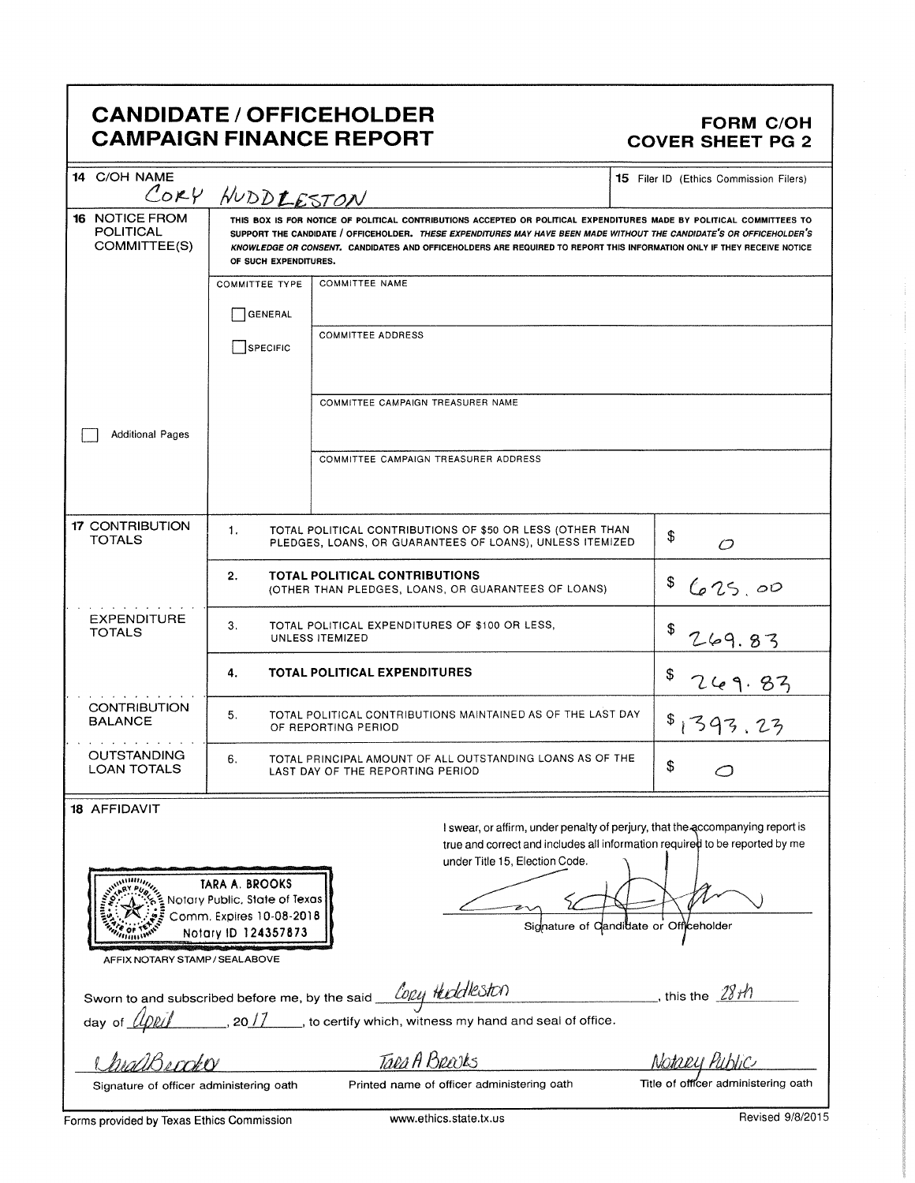## CANDIDATE / OFFICEHOLDER<br>CAMPAIGN FINANCE REPORT COVER SHEET PG 2 **CAMPAIGN FINANCE REPORT**

| 14 C/OH NAME                                                                                                                                                                                   | CORY HUDDLESTON                                                                                                                                                                                                                                                                                                                                                                                  |                                                                                             | <b>15</b> Filer ID (Ethics Commission Filers) |  |  |
|------------------------------------------------------------------------------------------------------------------------------------------------------------------------------------------------|--------------------------------------------------------------------------------------------------------------------------------------------------------------------------------------------------------------------------------------------------------------------------------------------------------------------------------------------------------------------------------------------------|---------------------------------------------------------------------------------------------|-----------------------------------------------|--|--|
| <b>16 NOTICE FROM</b><br>POLITICAL<br>COMMITTEE(S)                                                                                                                                             | THIS BOX IS FOR NOTICE OF POLITICAL CONTRIBUTIONS ACCEPTED OR POLITICAL EXPENDITURES MADE BY POLITICAL COMMITTEES TO<br>SUPPORT THE CANDIDATE / OFFICEHOLDER. THESE EXPENDITURES MAY HAVE BEEN MADE WITHOUT THE CANDIDATE'S OR OFFICEHOLDER'S<br>KNOWLEDGE OR CONSENT. CANDIDATES AND OFFICEHOLDERS ARE REQUIRED TO REPORT THIS INFORMATION ONLY IF THEY RECEIVE NOTICE<br>OF SUCH EXPENDITURES. |                                                                                             |                                               |  |  |
|                                                                                                                                                                                                | <b>COMMITTEE TYPE</b>                                                                                                                                                                                                                                                                                                                                                                            | <b>COMMITTEE NAME</b>                                                                       |                                               |  |  |
|                                                                                                                                                                                                | <b>GENERAL</b>                                                                                                                                                                                                                                                                                                                                                                                   |                                                                                             |                                               |  |  |
|                                                                                                                                                                                                | SPECIFIC                                                                                                                                                                                                                                                                                                                                                                                         | <b>COMMITTEE ADDRESS</b>                                                                    |                                               |  |  |
|                                                                                                                                                                                                |                                                                                                                                                                                                                                                                                                                                                                                                  | COMMITTEE CAMPAIGN TREASURER NAME                                                           |                                               |  |  |
|                                                                                                                                                                                                |                                                                                                                                                                                                                                                                                                                                                                                                  |                                                                                             |                                               |  |  |
| <b>Additional Pages</b>                                                                                                                                                                        |                                                                                                                                                                                                                                                                                                                                                                                                  |                                                                                             |                                               |  |  |
|                                                                                                                                                                                                |                                                                                                                                                                                                                                                                                                                                                                                                  | COMMITTEE CAMPAIGN TREASURER ADDRESS                                                        |                                               |  |  |
|                                                                                                                                                                                                |                                                                                                                                                                                                                                                                                                                                                                                                  |                                                                                             |                                               |  |  |
| <b>17 CONTRIBUTION</b>                                                                                                                                                                         | 1.                                                                                                                                                                                                                                                                                                                                                                                               | TOTAL POLITICAL CONTRIBUTIONS OF \$50 OR LESS (OTHER THAN                                   | \$                                            |  |  |
| <b>TOTALS</b>                                                                                                                                                                                  |                                                                                                                                                                                                                                                                                                                                                                                                  | PLEDGES, LOANS, OR GUARANTEES OF LOANS), UNLESS ITEMIZED                                    | Õ                                             |  |  |
|                                                                                                                                                                                                | 2.                                                                                                                                                                                                                                                                                                                                                                                               | <b>TOTAL POLITICAL CONTRIBUTIONS</b><br>(OTHER THAN PLEDGES, LOANS, OR GUARANTEES OF LOANS) | \$<br>625.00                                  |  |  |
| <b>EXPENDITURE</b><br>3.<br>TOTAL POLITICAL EXPENDITURES OF \$100 OR LESS,<br>\$<br><b>TOTALS</b><br>UNLESS ITEMIZED                                                                           |                                                                                                                                                                                                                                                                                                                                                                                                  | 269.83                                                                                      |                                               |  |  |
|                                                                                                                                                                                                | 4.                                                                                                                                                                                                                                                                                                                                                                                               | <b>TOTAL POLITICAL EXPENDITURES</b>                                                         | \$                                            |  |  |
| <b>CONTRIBUTION</b><br><b>BALANCE</b>                                                                                                                                                          | TOTAL POLITICAL CONTRIBUTIONS MAINTAINED AS OF THE LAST DAY<br>5.<br>OF REPORTING PERIOD                                                                                                                                                                                                                                                                                                         |                                                                                             | 393.23                                        |  |  |
| <b>OUTSTANDING</b><br><b>LOAN TOTALS</b>                                                                                                                                                       | TOTAL PRINCIPAL AMOUNT OF ALL OUTSTANDING LOANS AS OF THE<br>6.<br>\$<br>LAST DAY OF THE REPORTING PERIOD                                                                                                                                                                                                                                                                                        |                                                                                             |                                               |  |  |
| 18 AFFIDAVIT                                                                                                                                                                                   |                                                                                                                                                                                                                                                                                                                                                                                                  |                                                                                             |                                               |  |  |
| I swear, or affirm, under penalty of perjury, that the accompanying report is<br>true and correct and includes all information required to be reported by me<br>under Title 15, Election Code. |                                                                                                                                                                                                                                                                                                                                                                                                  |                                                                                             |                                               |  |  |
| a <sup>annin</sup> n,                                                                                                                                                                          | <b>TARA A. BROOKS</b>                                                                                                                                                                                                                                                                                                                                                                            |                                                                                             |                                               |  |  |
|                                                                                                                                                                                                | Notary Public, State of Texas                                                                                                                                                                                                                                                                                                                                                                    |                                                                                             |                                               |  |  |
| Comm. Expires 10-08-2018<br>Signature of Candidate or Officeholder<br>Notary ID 124357873                                                                                                      |                                                                                                                                                                                                                                                                                                                                                                                                  |                                                                                             |                                               |  |  |
|                                                                                                                                                                                                |                                                                                                                                                                                                                                                                                                                                                                                                  |                                                                                             |                                               |  |  |
| AFFIX NOTARY STAMP / SEALABOVE                                                                                                                                                                 |                                                                                                                                                                                                                                                                                                                                                                                                  |                                                                                             |                                               |  |  |
| this the $28H$                                                                                                                                                                                 |                                                                                                                                                                                                                                                                                                                                                                                                  |                                                                                             |                                               |  |  |
|                                                                                                                                                                                                |                                                                                                                                                                                                                                                                                                                                                                                                  |                                                                                             |                                               |  |  |
|                                                                                                                                                                                                |                                                                                                                                                                                                                                                                                                                                                                                                  | Taeg A Breaks                                                                               | Notagu Public                                 |  |  |
| Title of officer administering oath<br>Printed name of officer administering oath<br>Signature of officer administering oath                                                                   |                                                                                                                                                                                                                                                                                                                                                                                                  |                                                                                             |                                               |  |  |
| Forms provided by Texas Ethics Commission                                                                                                                                                      |                                                                                                                                                                                                                                                                                                                                                                                                  | www.ethics.state.tx.us                                                                      | Revised 9/8/2015                              |  |  |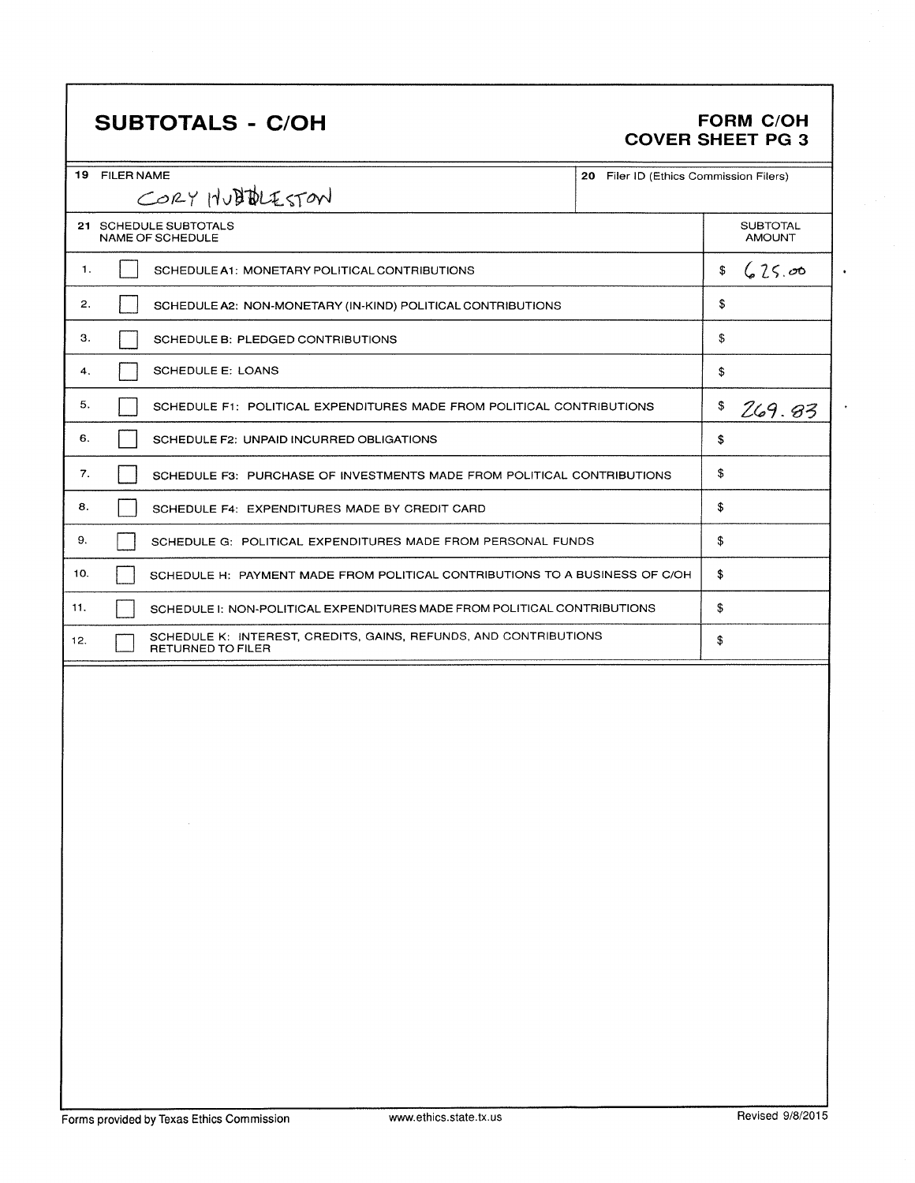## **SUBTOTALS - C/OH**

## **FORM C/OH** COVER SHEET PG 3

| 19 FILER NAME<br>20 Filer ID (Ethics Commission Filers)                                      |                                  |  |  |  |
|----------------------------------------------------------------------------------------------|----------------------------------|--|--|--|
| CORY HUBBLESTON                                                                              |                                  |  |  |  |
| 21 SCHEDULE SUBTOTALS<br><b>NAME OF SCHEDULE</b>                                             | <b>SUBTOTAL</b><br><b>AMOUNT</b> |  |  |  |
| 1.<br>SCHEDULE A1: MONETARY POLITICAL CONTRIBUTIONS                                          | 625.00<br>\$                     |  |  |  |
| 2.<br>SCHEDULE A2: NON-MONETARY (IN-KIND) POLITICAL CONTRIBUTIONS                            | \$                               |  |  |  |
| 3.<br>SCHEDULE B: PLEDGED CONTRIBUTIONS                                                      | \$                               |  |  |  |
| <b>SCHEDULE E: LOANS</b><br>4.                                                               | \$                               |  |  |  |
| 5.<br>SCHEDULE F1: POLITICAL EXPENDITURES MADE FROM POLITICAL CONTRIBUTIONS                  | \$<br>269.83                     |  |  |  |
| 6.<br>SCHEDULE F2: UNPAID INCURRED OBLIGATIONS                                               | \$                               |  |  |  |
| 7.<br>SCHEDULE F3: PURCHASE OF INVESTMENTS MADE FROM POLITICAL CONTRIBUTIONS                 | \$                               |  |  |  |
| 8.<br>SCHEDULE F4: EXPENDITURES MADE BY CREDIT CARD                                          | \$                               |  |  |  |
| 9.<br>SCHEDULE G: POLITICAL EXPENDITURES MADE FROM PERSONAL FUNDS                            | \$                               |  |  |  |
| 10.<br>SCHEDULE H: PAYMENT MADE FROM POLITICAL CONTRIBUTIONS TO A BUSINESS OF C/OH           | \$                               |  |  |  |
| 11.<br>SCHEDULE I: NON-POLITICAL EXPENDITURES MADE FROM POLITICAL CONTRIBUTIONS              | \$                               |  |  |  |
| SCHEDULE K: INTEREST, CREDITS, GAINS, REFUNDS, AND CONTRIBUTIONS<br>12.<br>RETURNED TO FILER | \$                               |  |  |  |
|                                                                                              |                                  |  |  |  |
|                                                                                              |                                  |  |  |  |
|                                                                                              |                                  |  |  |  |
|                                                                                              |                                  |  |  |  |
|                                                                                              |                                  |  |  |  |
|                                                                                              |                                  |  |  |  |
|                                                                                              |                                  |  |  |  |
|                                                                                              |                                  |  |  |  |
|                                                                                              |                                  |  |  |  |
|                                                                                              |                                  |  |  |  |
|                                                                                              |                                  |  |  |  |